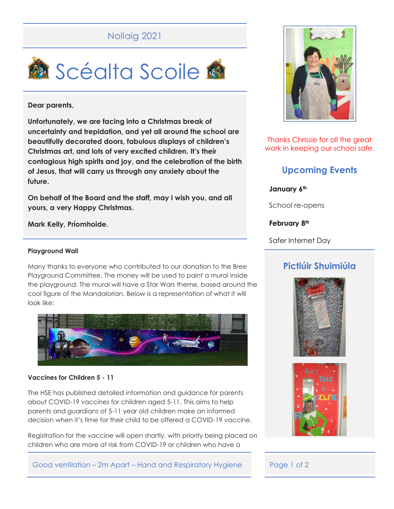# Nollaig 2021



### **Dear parents,**

**Unfortunately, we are facing into a Christmas break of uncertainty and trepidation, and yet all around the school are beautifully decorated doors, fabulous displays of children's Christmas art, and lots of very excited children. It's their contagious high spirits and joy, and the celebration of the birth of Jesus, that will carry us through any anxiety about the future.**

**On behalf of the Board and the staff, may I wish you, and all yours, a very Happy Christmas.** 

## **Mark Kelly, Príomhoide.**

### **Playground Wall**

Many thanks to everyone who contributed to our donation to the Bree Playground Committee. The money will be used to paint a mural inside the playground. The mural will have a Star Wars theme, based around the cool figure of the Mandalorian. Below is a representation of what it will look like:



#### **Vaccines for Children 5 - 11**

The HSE has published detailed information and guidance for parents about COVID-19 vaccines for children aged 5-11. This aims to help parents and guardians of 5-11 year old children make an informed decision when it's time for their child to be offered a COVID-19 vaccine.

Registration for the vaccine will open shortly, with priority being placed on children who are more at risk from COVID-19 or children who have a



Thanks Chrissie for all the great work in keeping our school safe.

# **Upcoming Events**

**January 6th**

School re-opens

**February 8th**

Safer Internet Day

# **Pictiúir Shuimiúla**





Good ventilation – 2m Apart – Hand and Respiratory Hygiene Page 1 of 2